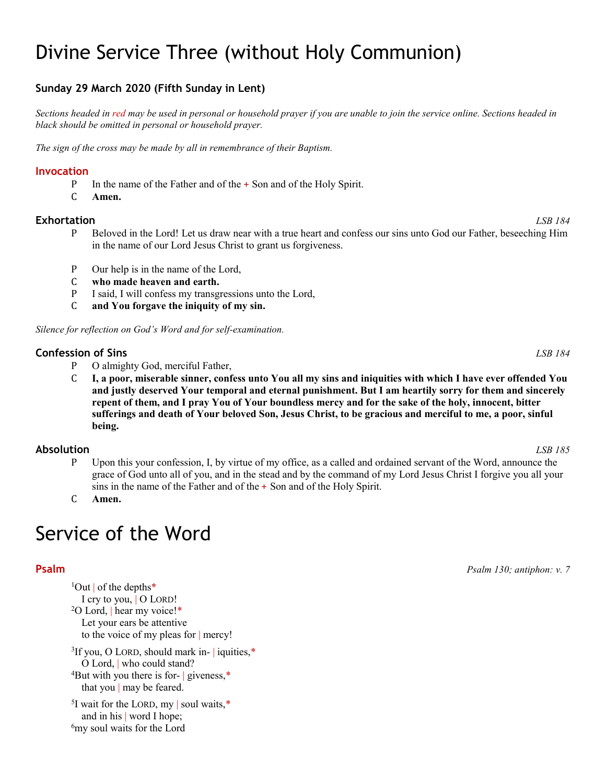# Divine Service Three (without Holy Communion)

# **Sunday 29 March 2020 (Fifth Sunday in Lent)**

*Sections headed in red may be used in personal or household prayer if you are unable to join the service online. Sections headed in black should be omitted in personal or household prayer.*

*The sign of the cross may be made by all in remembrance of their Baptism.*

### **Invocation**

- P In the name of the Father and of the + Son and of the Holy Spirit.<br>C Amen.
- Amen.

### **Exhortation** *LSB 184*

- P Beloved in the Lord! Let us draw near with a true heart and confess our sins unto God our Father, beseeching Him in the name of our Lord Jesus Christ to grant us forgiveness.
- P Our help is in the name of the Lord,<br>C who made heaven and earth.
- **C** who made heaven and earth.<br>P I said. I will confess my transg
- P I said, I will confess my transgressions unto the Lord,<br>C and You for gave the iniquity of my sin.
- and You forgave the iniquity of my sin.

*Silence for reflection on God's Word and for self-examination.*

### **Confession of Sins** *LSB 184*

- P O almighty God, merciful Father,<br>C **I. a poor, miserable sinner, conf**
- C **I, a poor, miserable sinner, confess unto You all my sins and iniquities with which I have ever offended You and justly deserved Your temporal and eternal punishment. But I am heartily sorry for them and sincerely repent of them, and I pray You of Your boundless mercy and for the sake of the holy, innocent, bitter sufferings and death of Your beloved Son, Jesus Christ, to be gracious and merciful to me, a poor, sinful being.**

### **Absolution** *LSB 185*

P Upon this your confession, I, by virtue of my office, as a called and ordained servant of the Word, announce the grace of God unto all of you, and in the stead and by the command of my Lord Jesus Christ I forgive you all your sins in the name of the Father and of the + Son and of the Holy Spirit.

C **Amen.**

# Service of the Word

 $1$ Out | of the depths\* I cry to you, | O LORD! <sup>2</sup>O Lord, hear my voice!\* Let your ears be attentive to the voice of my pleas for | mercy!  ${}^{3}$ If you, O LORD, should mark in- | iquities, $*$ O Lord, | who could stand?

4But with you there is for- | giveness,\* that you | may be feared.

<sup>5</sup>I wait for the LORD, my | soul waits,  $*$ and in his | word I hope; <sup>6</sup>my soul waits for the Lord

**Psalm** *Psalm 130; antiphon: v. 7*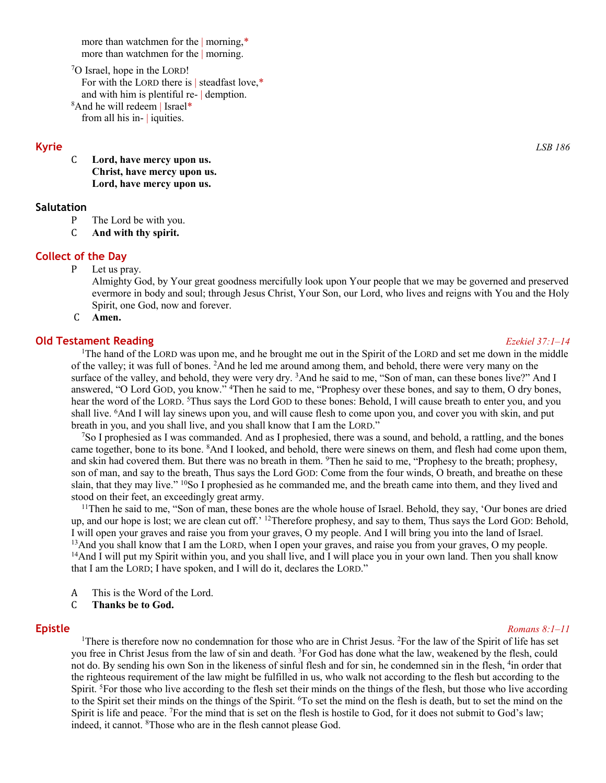more than watchmen for the | morning,\* more than watchmen for the | morning.

7O Israel, hope in the LORD! For with the LORD there is | steadfast love,\* and with him is plentiful re- | demption. 8And he will redeem | Israel\* from all his in- | iquities.

### **Kyrie** *LSB 186*

C **Lord, have mercy upon us. Christ, have mercy upon us. Lord, have mercy upon us.**

### **Salutation**

- P The Lord be with you.<br>C And with thy spirit.
- And with thy spirit.

### **Collect of the Day**

P Let us pray.

Almighty God, by Your great goodness mercifully look upon Your people that we may be governed and preserved evermore in body and soul; through Jesus Christ, Your Son, our Lord, who lives and reigns with You and the Holy Spirit, one God, now and forever.

C **Amen.**

### **Old Testament Reading** *Ezekiel 37:1–14*

<sup>1</sup>The hand of the LORD was upon me, and he brought me out in the Spirit of the LORD and set me down in the middle of the valley; it was full of bones. <sup>2</sup>And he led me around among them, and behold, there were very many on the surface of the valley, and behold, they were very dry. <sup>3</sup>And he said to me, "Son of man, can these bones live?" And I answered, "O Lord GOD, you know." <sup>4</sup>Then he said to me, "Prophesy over these bones, and say to them, O dry bones, hear the word of the LORD. <sup>5</sup>Thus says the Lord GOD to these bones: Behold, I will cause breath to enter you, and you shall live. <sup>6</sup>And I will lay sinews upon you, and will cause flesh to come upon you, and cover you with skin, and put breath in you, and you shall live, and you shall know that I am the LORD."

7So I prophesied as I was commanded. And as I prophesied, there was a sound, and behold, a rattling, and the bones came together, bone to its bone. <sup>8</sup>And I looked, and behold, there were sinews on them, and flesh had come upon them, and skin had covered them. But there was no breath in them. 9Then he said to me, "Prophesy to the breath; prophesy, son of man, and say to the breath, Thus says the Lord GOD: Come from the four winds, O breath, and breathe on these slain, that they may live." <sup>10</sup>So I prophesied as he commanded me, and the breath came into them, and they lived and stood on their feet, an exceedingly great army.

<sup>11</sup>Then he said to me, "Son of man, these bones are the whole house of Israel. Behold, they say, 'Our bones are dried up, and our hope is lost; we are clean cut off.' 12Therefore prophesy, and say to them, Thus says the Lord GOD: Behold, I will open your graves and raise you from your graves, O my people. And I will bring you into the land of Israel. <sup>13</sup>And you shall know that I am the LORD, when I open your graves, and raise you from your graves, O my people. <sup>14</sup>And I will put my Spirit within you, and you shall live, and I will place you in your own land. Then you shall know that I am the LORD; I have spoken, and I will do it, declares the LORD."

- A This is the Word of the Lord.<br>C Thanks be to God.
- C **Thanks be to God.**

### **Epistle** *Romans 8:1–11*

<sup>1</sup>There is therefore now no condemnation for those who are in Christ Jesus. <sup>2</sup>For the law of the Spirit of life has set you free in Christ Jesus from the law of sin and death. 3For God has done what the law, weakened by the flesh, could not do. By sending his own Son in the likeness of sinful flesh and for sin, he condemned sin in the flesh, <sup>4</sup>in order that the righteous requirement of the law might be fulfilled in us, who walk not according to the flesh but according to the Spirit. 5For those who live according to the flesh set their minds on the things of the flesh, but those who live according to the Spirit set their minds on the things of the Spirit. 6To set the mind on the flesh is death, but to set the mind on the Spirit is life and peace. 7For the mind that is set on the flesh is hostile to God, for it does not submit to God's law; indeed, it cannot. 8 Those who are in the flesh cannot please God.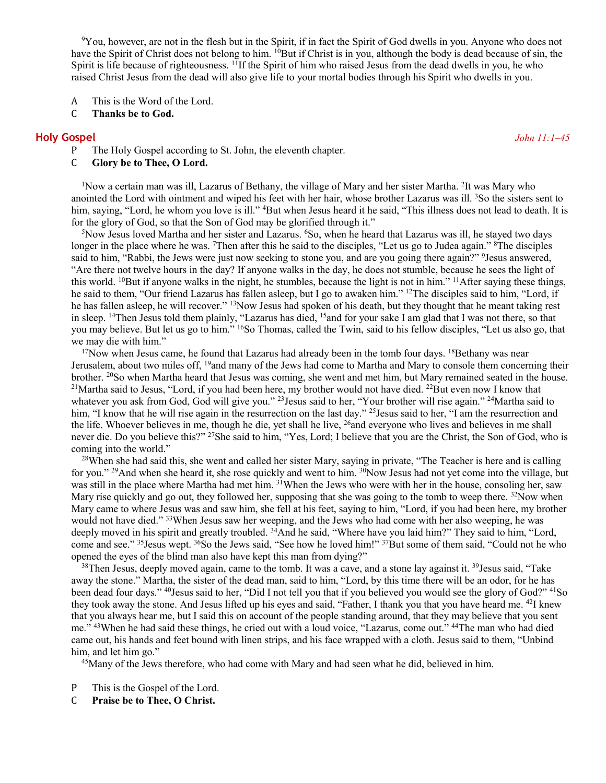<sup>9</sup>You, however, are not in the flesh but in the Spirit, if in fact the Spirit of God dwells in you. Anyone who does not have the Spirit of Christ does not belong to him. <sup>10</sup>But if Christ is in you, although the body is dead because of sin, the Spirit is life because of righteousness.  $11$ If the Spirit of him who raised Jesus from the dead dwells in you, he who raised Christ Jesus from the dead will also give life to your mortal bodies through his Spirit who dwells in you.

- A This is the Word of the Lord.<br>C Thanks be to God.
- Thanks be to God.

### **Holy Gospel** *John 11:1–45*

- P The Holy Gospel according to St. John, the eleventh chapter.<br>C Glory be to Thee, O Lord.
- Glory be to Thee, O Lord.

<sup>1</sup>Now a certain man was ill, Lazarus of Bethany, the village of Mary and her sister Martha. <sup>2</sup>It was Mary who anointed the Lord with ointment and wiped his feet with her hair, whose brother Lazarus was ill. <sup>3</sup>So the sisters sent to him, saying, "Lord, he whom you love is ill." <sup>4</sup>But when Jesus heard it he said, "This illness does not lead to death. It is for the glory of God, so that the Son of God may be glorified through it."

<sup>5</sup>Now Jesus loved Martha and her sister and Lazarus. <sup>6</sup>So, when he heard that Lazarus was ill, he stayed two days longer in the place where he was. <sup>7</sup>Then after this he said to the disciples, "Let us go to Judea again." <sup>8</sup>The disciples said to him, "Rabbi, the Jews were just now seeking to stone you, and are you going there again?" <sup>9</sup>Jesus answered, "Are there not twelve hours in the day? If anyone walks in the day, he does not stumble, because he sees the light of this world. <sup>10</sup>But if anyone walks in the night, he stumbles, because the light is not in him." <sup>11</sup>After saying these things, he said to them, "Our friend Lazarus has fallen asleep, but I go to awaken him." 12The disciples said to him, "Lord, if he has fallen asleep, he will recover." <sup>13</sup>Now Jesus had spoken of his death, but they thought that he meant taking rest in sleep. 14Then Jesus told them plainly, "Lazarus has died, 15and for your sake I am glad that I was not there, so that you may believe. But let us go to him." 16So Thomas, called the Twin, said to his fellow disciples, "Let us also go, that we may die with him."

 $17$ Now when Jesus came, he found that Lazarus had already been in the tomb four days.  $18$ Bethany was near Jerusalem, about two miles off, <sup>19</sup>and many of the Jews had come to Martha and Mary to console them concerning their brother. <sup>20</sup>So when Martha heard that Jesus was coming, she went and met him, but Mary remained seated in the house. <sup>21</sup>Martha said to Jesus, "Lord, if you had been here, my brother would not have died. <sup>22</sup>But even now I know that whatever you ask from God, God will give you." <sup>23</sup>Jesus said to her, "Your brother will rise again." <sup>24</sup>Martha said to him, "I know that he will rise again in the resurrection on the last day." <sup>25</sup> Jesus said to her, "I am the resurrection and the life. Whoever believes in me, though he die, yet shall he live, <sup>26</sup>and everyone who lives and believes in me shall never die. Do you believe this?" <sup>27</sup>She said to him, "Yes, Lord; I believe that you are the Christ, the Son of God, who is coming into the world."

<sup>28</sup>When she had said this, she went and called her sister Mary, saying in private, "The Teacher is here and is calling for you." 29And when she heard it, she rose quickly and went to him. 30Now Jesus had not yet come into the village, but was still in the place where Martha had met him. <sup>31</sup>When the Jews who were with her in the house, consoling her, saw Mary rise quickly and go out, they followed her, supposing that she was going to the tomb to weep there. <sup>32</sup>Now when Mary came to where Jesus was and saw him, she fell at his feet, saying to him, "Lord, if you had been here, my brother would not have died." <sup>33</sup>When Jesus saw her weeping, and the Jews who had come with her also weeping, he was deeply moved in his spirit and greatly troubled. <sup>34</sup>And he said, "Where have you laid him?" They said to him, "Lord, come and see." 35Jesus wept. 36So the Jews said, "See how he loved him!" 37But some of them said, "Could not he who opened the eyes of the blind man also have kept this man from dying?"

 $38$ Then Jesus, deeply moved again, came to the tomb. It was a cave, and a stone lay against it.  $39$ Jesus said, "Take" away the stone." Martha, the sister of the dead man, said to him, "Lord, by this time there will be an odor, for he has been dead four days." <sup>40</sup>Jesus said to her, "Did I not tell you that if you believed you would see the glory of God?" <sup>41</sup>So they took away the stone. And Jesus lifted up his eyes and said, "Father, I thank you that you have heard me. 42I knew that you always hear me, but I said this on account of the people standing around, that they may believe that you sent me." 43When he had said these things, he cried out with a loud voice, "Lazarus, come out." 44The man who had died came out, his hands and feet bound with linen strips, and his face wrapped with a cloth. Jesus said to them, "Unbind him, and let him go."

<sup>45</sup>Many of the Jews therefore, who had come with Mary and had seen what he did, believed in him.

- P This is the Gospel of the Lord.<br>C **Praise be to Thee, O Christ.**
- C **Praise be to Thee, O Christ.**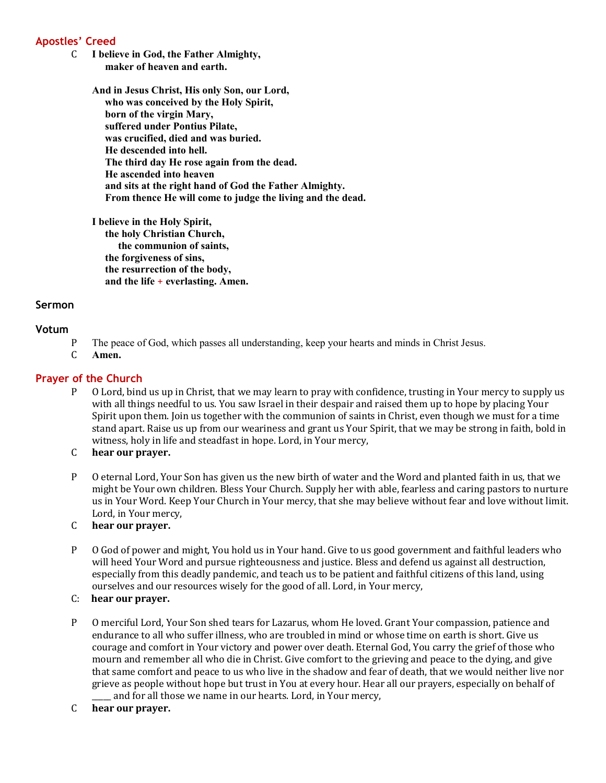# **Apostles' Creed**

C **I believe in God, the Father Almighty, maker of heaven and earth.**

> **And in Jesus Christ, His only Son, our Lord, who was conceived by the Holy Spirit, born of the virgin Mary, suffered under Pontius Pilate, was crucified, died and was buried. He descended into hell. The third day He rose again from the dead. He ascended into heaven and sits at the right hand of God the Father Almighty. From thence He will come to judge the living and the dead.**

**I believe in the Holy Spirit, the holy Christian Church, the communion of saints, the forgiveness of sins, the resurrection of the body, and the life** + **everlasting. Amen.**

## **Sermon**

## **Votum**

- P The peace of God, which passes all understanding, keep your hearts and minds in Christ Jesus.<br>C Amen.
- Amen.

### **Prayer of the Church**

- P O Lord, bind us up in Christ, that we may learn to pray with confidence, trusting in Your mercy to supply us with all things needful to us. You saw Israel in their despair and raised them up to hope by placing Your Spirit upon them. Join us together with the communion of saints in Christ, even though we must for a time stand apart. Raise us up from our weariness and grant us Your Spirit, that we may be strong in faith, bold in witness, holy in life and steadfast in hope. Lord, in Your mercy,
- C **hear our prayer.**
- P O eternal Lord, Your Son has given us the new birth of water and the Word and planted faith in us, that we might be Your own children. Bless Your Church. Supply her with able, fearless and caring pastors to nurture us in Your Word. Keep Your Church in Your mercy, that she may believe without fear and love without limit. Lord, in Your mercy,
- C **hear our prayer.**
- P O God of power and might, You hold us in Your hand. Give to us good government and faithful leaders who will heed Your Word and pursue righteousness and justice. Bless and defend us against all destruction, especially from this deadly pandemic, and teach us to be patient and faithful citizens of this land, using ourselves and our resources wisely for the good of all. Lord, in Your mercy,
- C: **hear our prayer.**
- P O merciful Lord, Your Son shed tears for Lazarus, whom He loved. Grant Your compassion, patience and endurance to all who suffer illness, who are troubled in mind or whose time on earth is short. Give us courage and comfort in Your victory and power over death. Eternal God, You carry the grief of those who mourn and remember all who die in Christ. Give comfort to the grieving and peace to the dying, and give that same comfort and peace to us who live in the shadow and fear of death, that we would neither live nor grieve as people without hope but trust in You at every hour. Hear all our prayers, especially on behalf of and for all those we name in our hearts. Lord, in Your mercy,
- C **hear our prayer.**